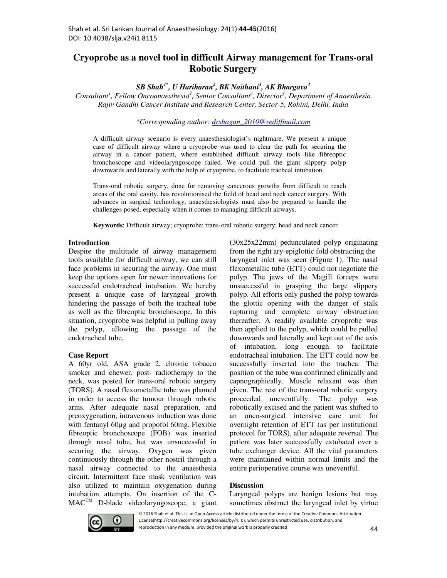# **Cryoprobe as a novel tool in difficult Airway management for Trans-oral Robotic Surgery**

*SB Shah1\*, U Hariharan<sup>2</sup> , BK Naithani<sup>3</sup> , AK Bhargava<sup>4</sup>*

*Consultant<sup>1</sup> , Fellow Oncoanaesthesia<sup>2</sup> , Senior Consultant<sup>3</sup> , Director<sup>4</sup> , Department of Anaesthesia Rajiv Gandhi Cancer Institute and Research Center, Sector-5, Rohini, Delhi, India* 

*\*Corresponding author: drshagun\_2010@rediffmail.com*

A difficult airway scenario is every anaesthesiologist's nightmare. We present a unique case of difficult airway where a cryoprobe was used to clear the path for securing the airway in a cancer patient, where established difficult airway tools like fibreoptic bronchoscope and videolaryngoscope failed. We could pull the giant slippery polyp downwards and laterally with the help of cryoprobe, to facilitate tracheal intubation.

Trans-oral robotic surgery, done for removing cancerous growths from difficult to reach areas of the oral cavity, has revolutionised the field of head and neck cancer surgery. With advances in surgical technology, anaesthesiologists must also be prepared to handle the challenges posed, especially when it comes to managing difficult airways.

**Keywords**: Difficult airway; cryoprobe; trans-oral robotic surgery; head and neck cancer

### **Introduction**

Despite the multitude of airway management tools available for difficult airway, we can still face problems in securing the airway. One must keep the options open for newer innovations for successful endotracheal intubation. We hereby present a unique case of laryngeal growth hindering the passage of both the tracheal tube as well as the fibreoptic bronchoscope. In this situation, cryoprobe was helpful in pulling away the polyp, allowing the passage of the endotracheal tube.

# **Case Report**

A 60yr old, ASA grade 2, chronic tobacco smoker and chewer, post- radiotherapy to the neck, was posted for trans-oral robotic surgery (TORS). A nasal flexometallic tube was planned in order to access the tumour through robotic arms. After adequate nasal preparation, and preoxygenation, intravenous induction was done with fentanyl 60 $\mu$ g and propofol 60mg. Flexible fibreoptic bronchoscope (FOB) was inserted through nasal tube, but was unsuccessful in securing the airway. Oxygen was given continuously through the other nostril through a nasal airway connected to the anaesthesia circuit. Intermittent face mask ventilation was also utilized to maintain oxygenation during intubation attempts. On insertion of the C-MACTM D-blade videolaryngoscope, a giant

(30x25x22mm) pedunculated polyp originating from the right ary-epiglottic fold obstructing the laryngeal inlet was seen (Figure 1). The nasal flexometallic tube (ETT) could not negotiate the polyp. The jaws of the Magill forceps were unsuccessful in grasping the large slippery polyp. All efforts only pushed the polyp towards the glottic opening with the danger of stalk rupturing and complete airway obstruction thereafter. A readily available cryoprobe was then applied to the polyp, which could be pulled downwards and laterally and kept out of the axis of intubation, long enough to facilitate endotracheal intubation. The ETT could now be successfully inserted into the trachea. The position of the tube was confirmed clinically and capnographically. Muscle relaxant was then given. The rest of the trans-oral robotic surgery proceeded uneventfully. The polyp was robotically excised and the patient was shifted to an onco-surgical intensive care unit for overnight retention of ETT (as per institutional protocol for TORS), after adequate reversal. The patient was later successfully extubated over a tube exchanger device. All the vital parameters were maintained within normal limits and the entire perioperative course was uneventful.

# **Discussion**

Laryngeal polyps are benign lesions but may sometimes obstruct the laryngeal inlet by virtue



© 2016 Shah et al. This is an Open Access article distributed under the terms of the Creative Commons Attribution License(http://creativecommons.org/licenses/by/4. 0), which permits unrestricted use, distribution, and reproduction in any medium, provided the original work is properly credited